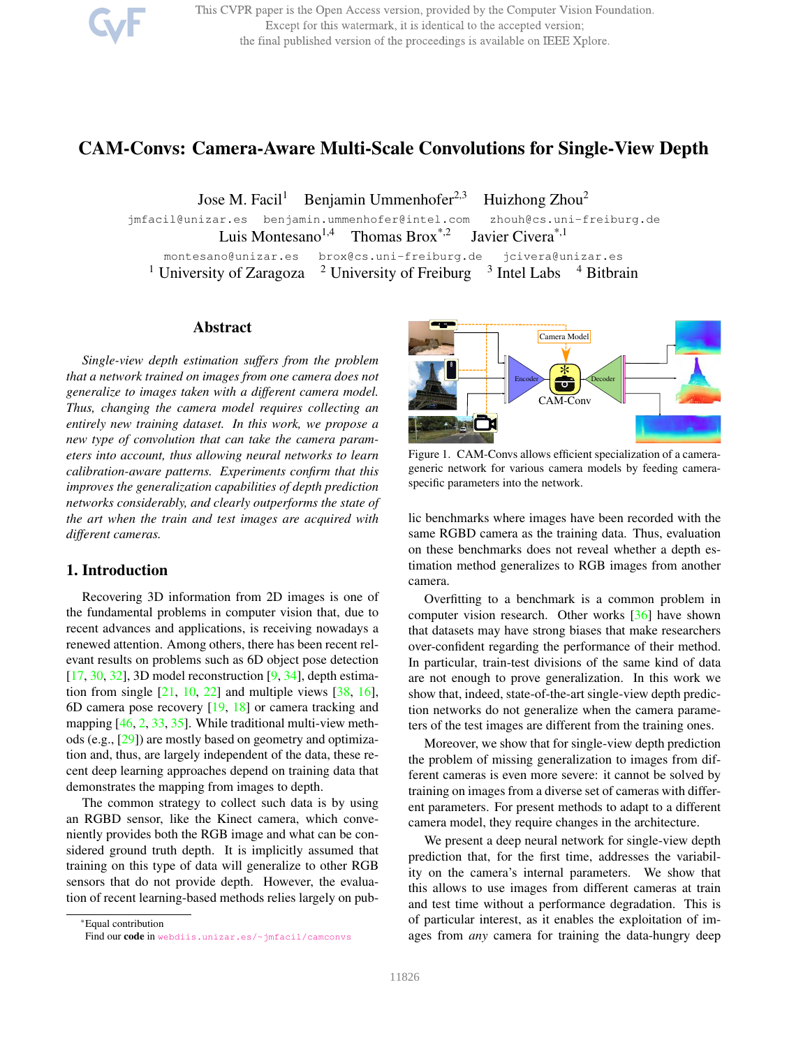This CVPR paper is the Open Access version, provided by the Computer Vision Foundation. Except for this watermark, it is identical to the accepted version; the final published version of the proceedings is available on IEEE Xplore.

# CAM-Convs: Camera-Aware Multi-Scale Convolutions for Single-View Depth

Jose M. Facil<sup>1</sup> Benjamin Ummenhofer<sup>2,3</sup> Huizhong Zhou<sup>2</sup>

jmfacil@unizar.es benjamin.ummenhofer@intel.com zhouh@cs.uni-freiburg.de Luis Montesano<sup>1,4</sup> Thomas Brox<sup>\*,2</sup> Javier Civera<sup>\*,1</sup> montesano@unizar.es brox@cs.uni-freiburg.de jcivera@unizar.es <sup>1</sup> University of Zaragoza  $\frac{2}{3}$  University of Freiburg  $\frac{3}{3}$  Intel Labs  $\frac{4}{3}$  Bitbrain

## Abstract

*Single-view depth estimation suffers from the problem that a network trained on images from one camera does not generalize to images taken with a different camera model. Thus, changing the camera model requires collecting an entirely new training dataset. In this work, we propose a new type of convolution that can take the camera parameters into account, thus allowing neural networks to learn calibration-aware patterns. Experiments confirm that this improves the generalization capabilities of depth prediction networks considerably, and clearly outperforms the state of the art when the train and test images are acquired with different cameras.*

# 1. Introduction

Recovering 3D information from 2D images is one of the fundamental problems in computer vision that, due to recent advances and applications, is receiving nowadays a renewed attention. Among others, there has been recent relevant results on problems such as 6D object pose detection  $[17, 30, 32]$ , 3D model reconstruction  $[9, 34]$ , depth estimation from single  $[21, 10, 22]$  and multiple views  $[38, 16]$ , 6D camera pose recovery [19, 18] or camera tracking and mapping [46, 2, 33, 35]. While traditional multi-view methods (e.g., [29]) are mostly based on geometry and optimization and, thus, are largely independent of the data, these recent deep learning approaches depend on training data that demonstrates the mapping from images to depth.

The common strategy to collect such data is by using an RGBD sensor, like the Kinect camera, which conveniently provides both the RGB image and what can be considered ground truth depth. It is implicitly assumed that training on this type of data will generalize to other RGB sensors that do not provide depth. However, the evaluation of recent learning-based methods relies largely on pub-

\*Equal contribution Find our code in webdiis.unizar.es/~jmfacil/camconvs



Figure 1. CAM-Convs allows efficient specialization of a camerageneric network for various camera models by feeding cameraspecific parameters into the network.

lic benchmarks where images have been recorded with the same RGBD camera as the training data. Thus, evaluation on these benchmarks does not reveal whether a depth estimation method generalizes to RGB images from another camera.

Overfitting to a benchmark is a common problem in computer vision research. Other works [36] have shown that datasets may have strong biases that make researchers over-confident regarding the performance of their method. In particular, train-test divisions of the same kind of data are not enough to prove generalization. In this work we show that, indeed, state-of-the-art single-view depth prediction networks do not generalize when the camera parameters of the test images are different from the training ones.

Moreover, we show that for single-view depth prediction the problem of missing generalization to images from different cameras is even more severe: it cannot be solved by training on images from a diverse set of cameras with different parameters. For present methods to adapt to a different camera model, they require changes in the architecture.

We present a deep neural network for single-view depth prediction that, for the first time, addresses the variability on the camera's internal parameters. We show that this allows to use images from different cameras at train and test time without a performance degradation. This is of particular interest, as it enables the exploitation of images from *any* camera for training the data-hungry deep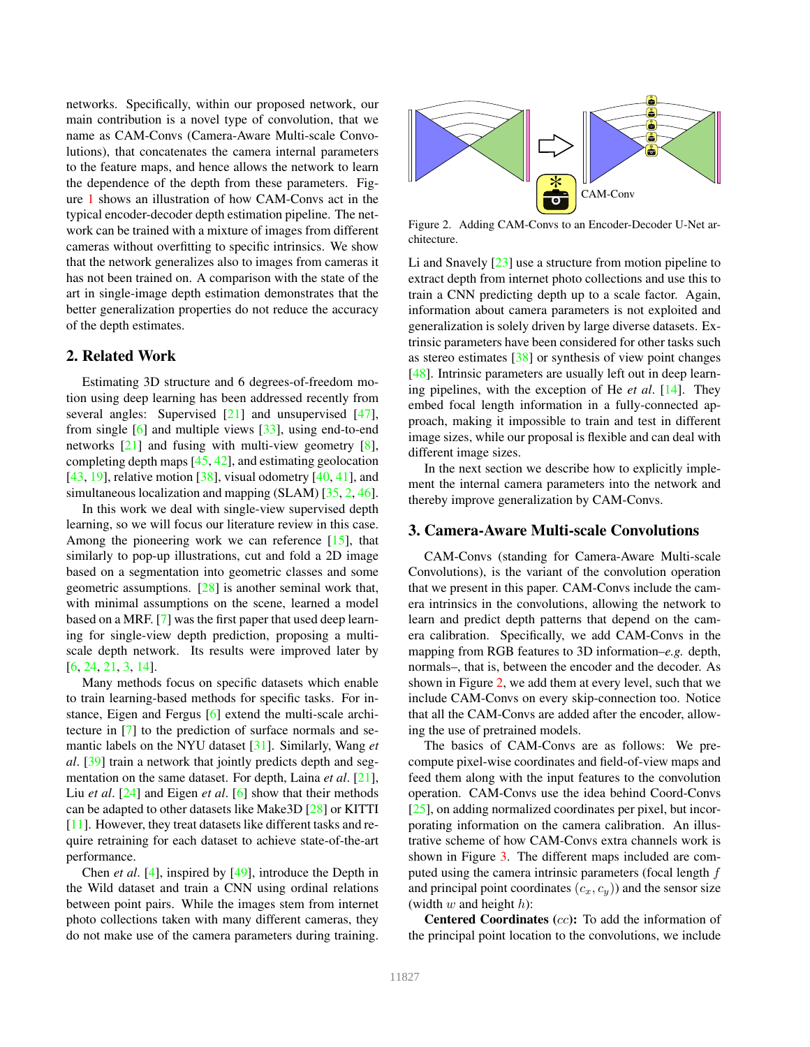networks. Specifically, within our proposed network, our main contribution is a novel type of convolution, that we name as CAM-Convs (Camera-Aware Multi-scale Convolutions), that concatenates the camera internal parameters to the feature maps, and hence allows the network to learn the dependence of the depth from these parameters. Figure 1 shows an illustration of how CAM-Convs act in the typical encoder-decoder depth estimation pipeline. The network can be trained with a mixture of images from different cameras without overfitting to specific intrinsics. We show that the network generalizes also to images from cameras it has not been trained on. A comparison with the state of the art in single-image depth estimation demonstrates that the better generalization properties do not reduce the accuracy of the depth estimates.

# 2. Related Work

Estimating 3D structure and 6 degrees-of-freedom motion using deep learning has been addressed recently from several angles: Supervised [21] and unsupervised [47], from single [6] and multiple views [33], using end-to-end networks [21] and fusing with multi-view geometry [8], completing depth maps [45, 42], and estimating geolocation [43, 19], relative motion  $[38]$ , visual odometry [40, 41], and simultaneous localization and mapping (SLAM) [35, 2, 46].

In this work we deal with single-view supervised depth learning, so we will focus our literature review in this case. Among the pioneering work we can reference [15], that similarly to pop-up illustrations, cut and fold a 2D image based on a segmentation into geometric classes and some geometric assumptions. [28] is another seminal work that, with minimal assumptions on the scene, learned a model based on a MRF. [7] was the first paper that used deep learning for single-view depth prediction, proposing a multiscale depth network. Its results were improved later by [6, 24, 21, 3, 14].

Many methods focus on specific datasets which enable to train learning-based methods for specific tasks. For instance, Eigen and Fergus [6] extend the multi-scale architecture in [7] to the prediction of surface normals and semantic labels on the NYU dataset [31]. Similarly, Wang *et al*. [39] train a network that jointly predicts depth and segmentation on the same dataset. For depth, Laina *et al*. [21], Liu *et al*. [24] and Eigen *et al*. [6] show that their methods can be adapted to other datasets like Make3D [28] or KITTI [11]. However, they treat datasets like different tasks and require retraining for each dataset to achieve state-of-the-art performance.

Chen *et al*. [4], inspired by [49], introduce the Depth in the Wild dataset and train a CNN using ordinal relations between point pairs. While the images stem from internet photo collections taken with many different cameras, they do not make use of the camera parameters during training.



Figure 2. Adding CAM-Convs to an Encoder-Decoder U-Net architecture.

Li and Snavely [23] use a structure from motion pipeline to extract depth from internet photo collections and use this to train a CNN predicting depth up to a scale factor. Again, information about camera parameters is not exploited and generalization is solely driven by large diverse datasets. Extrinsic parameters have been considered for other tasks such as stereo estimates  $\left[38\right]$  or synthesis of view point changes [48]. Intrinsic parameters are usually left out in deep learning pipelines, with the exception of He *et al*. [14]. They embed focal length information in a fully-connected approach, making it impossible to train and test in different image sizes, while our proposal is flexible and can deal with different image sizes.

In the next section we describe how to explicitly implement the internal camera parameters into the network and thereby improve generalization by CAM-Convs.

# 3. Camera-Aware Multi-scale Convolutions

CAM-Convs (standing for Camera-Aware Multi-scale Convolutions), is the variant of the convolution operation that we present in this paper. CAM-Convs include the camera intrinsics in the convolutions, allowing the network to learn and predict depth patterns that depend on the camera calibration. Specifically, we add CAM-Convs in the mapping from RGB features to 3D information–*e.g.* depth, normals–, that is, between the encoder and the decoder. As shown in Figure 2, we add them at every level, such that we include CAM-Convs on every skip-connection too. Notice that all the CAM-Convs are added after the encoder, allowing the use of pretrained models.

The basics of CAM-Convs are as follows: We precompute pixel-wise coordinates and field-of-view maps and feed them along with the input features to the convolution operation. CAM-Convs use the idea behind Coord-Convs [25], on adding normalized coordinates per pixel, but incorporating information on the camera calibration. An illustrative scheme of how CAM-Convs extra channels work is shown in Figure 3. The different maps included are computed using the camera intrinsic parameters (focal length f and principal point coordinates  $(c_x, c_y)$  and the sensor size (width  $w$  and height  $h$ ):

Centered Coordinates (cc): To add the information of the principal point location to the convolutions, we include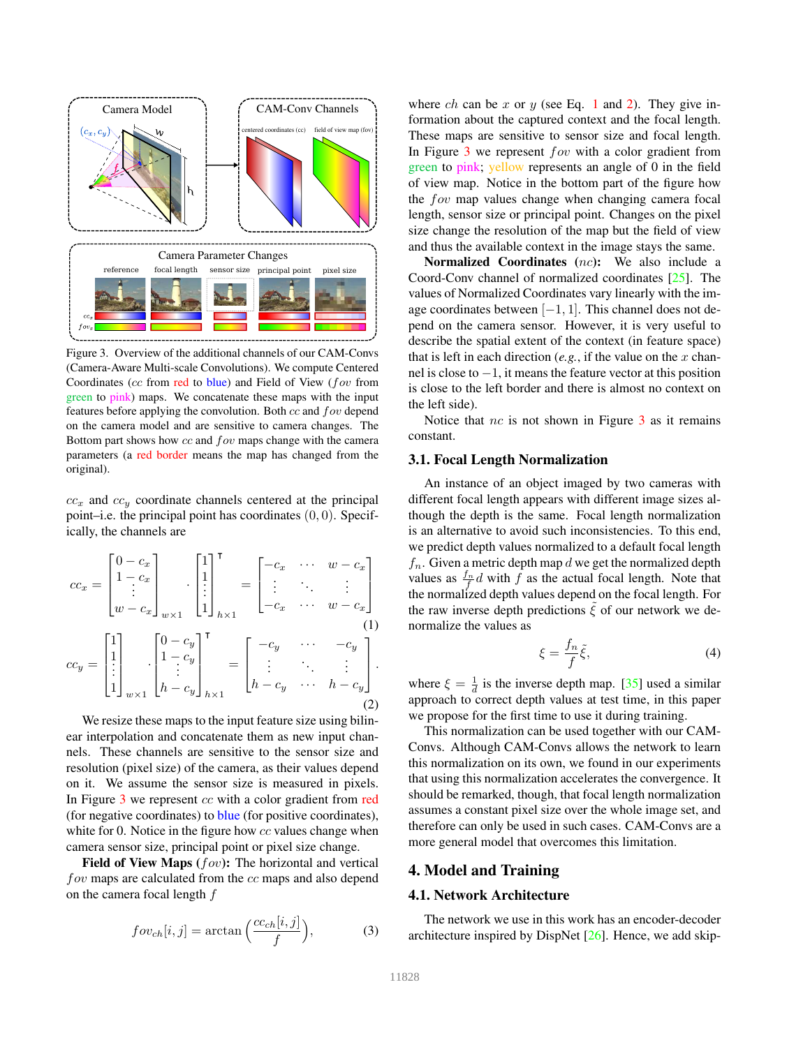

Figure 3. Overview of the additional channels of our CAM-Convs (Camera-Aware Multi-scale Convolutions). We compute Centered Coordinates (cc from red to blue) and Field of View (fov from green to pink) maps. We concatenate these maps with the input features before applying the convolution. Both cc and fov depend on the camera model and are sensitive to camera changes. The Bottom part shows how  $cc$  and  $fov$  maps change with the camera parameters (a red border means the map has changed from the original).

 $cc_x$  and  $cc_y$  coordinate channels centered at the principal point–i.e. the principal point has coordinates  $(0, 0)$ . Specifically, the channels are

$$
cc_x = \begin{bmatrix} 0 - c_x \\ 1 - c_x \\ \vdots \\ w - c_x \end{bmatrix}_{w \times 1} \cdot \begin{bmatrix} 1 \\ 1 \\ \vdots \\ 1 \end{bmatrix}_{h \times 1}^{\mathsf{T}} = \begin{bmatrix} -c_x & \cdots & w - c_x \\ \vdots & \ddots & \vdots \\ -c_x & \cdots & w - c_x \end{bmatrix}
$$

$$
cc_y = \begin{bmatrix} 1 \\ 1 \\ \vdots \\ 1 \end{bmatrix}_{w \times 1} \cdot \begin{bmatrix} 0 - c_y \\ 1 - c_y \\ \vdots \\ 1 - c_y \end{bmatrix}_{h \times 1}^{\mathsf{T}} = \begin{bmatrix} -c_y & \cdots & -c_y \\ \vdots & \ddots & \vdots \\ 1 - c_y & \cdots & h - c_y \end{bmatrix}.
$$
 (1)

We resize these maps to the input feature size using bilinear interpolation and concatenate them as new input channels. These channels are sensitive to the sensor size and resolution (pixel size) of the camera, as their values depend on it. We assume the sensor size is measured in pixels. In Figure 3 we represent cc with a color gradient from red (for negative coordinates) to blue (for positive coordinates), white for 0. Notice in the figure how cc values change when camera sensor size, principal point or pixel size change.

Field of View Maps  $(fov)$ : The horizontal and vertical fov maps are calculated from the cc maps and also depend on the camera focal length  $f$ 

$$
fov_{ch}[i,j] = \arctan\left(\frac{cc_{ch}[i,j]}{f}\right),\tag{3}
$$

where ch can be x or y (see Eq. 1 and 2). They give information about the captured context and the focal length. These maps are sensitive to sensor size and focal length. In Figure  $3$  we represent  $fov$  with a color gradient from green to pink; yellow represents an angle of 0 in the field of view map. Notice in the bottom part of the figure how the fov map values change when changing camera focal length, sensor size or principal point. Changes on the pixel size change the resolution of the map but the field of view and thus the available context in the image stays the same.

Normalized Coordinates (nc): We also include a Coord-Conv channel of normalized coordinates [25]. The values of Normalized Coordinates vary linearly with the image coordinates between  $[-1, 1]$ . This channel does not depend on the camera sensor. However, it is very useful to describe the spatial extent of the context (in feature space) that is left in each direction  $(e.g.,$  if the value on the  $x$  channel is close to  $-1$ , it means the feature vector at this position is close to the left border and there is almost no context on the left side).

Notice that  $nc$  is not shown in Figure  $3$  as it remains constant.

#### 3.1. Focal Length Normalization

An instance of an object imaged by two cameras with different focal length appears with different image sizes although the depth is the same. Focal length normalization is an alternative to avoid such inconsistencies. To this end, we predict depth values normalized to a default focal length  $f_n$ . Given a metric depth map d we get the normalized depth values as  $\frac{f_n}{f}$  with f as the actual focal length. Note that the normalized depth values depend on the focal length. For the raw inverse depth predictions  $\xi$  of our network we denormalize the values as

$$
\xi = \frac{f_n}{f}\tilde{\xi},\tag{4}
$$

where  $\xi = \frac{1}{d}$  is the inverse depth map. [35] used a similar approach to correct depth values at test time, in this paper we propose for the first time to use it during training.

This normalization can be used together with our CAM-Convs. Although CAM-Convs allows the network to learn this normalization on its own, we found in our experiments that using this normalization accelerates the convergence. It should be remarked, though, that focal length normalization assumes a constant pixel size over the whole image set, and therefore can only be used in such cases. CAM-Convs are a more general model that overcomes this limitation.

# 4. Model and Training

#### 4.1. Network Architecture

The network we use in this work has an encoder-decoder architecture inspired by DispNet [26]. Hence, we add skip-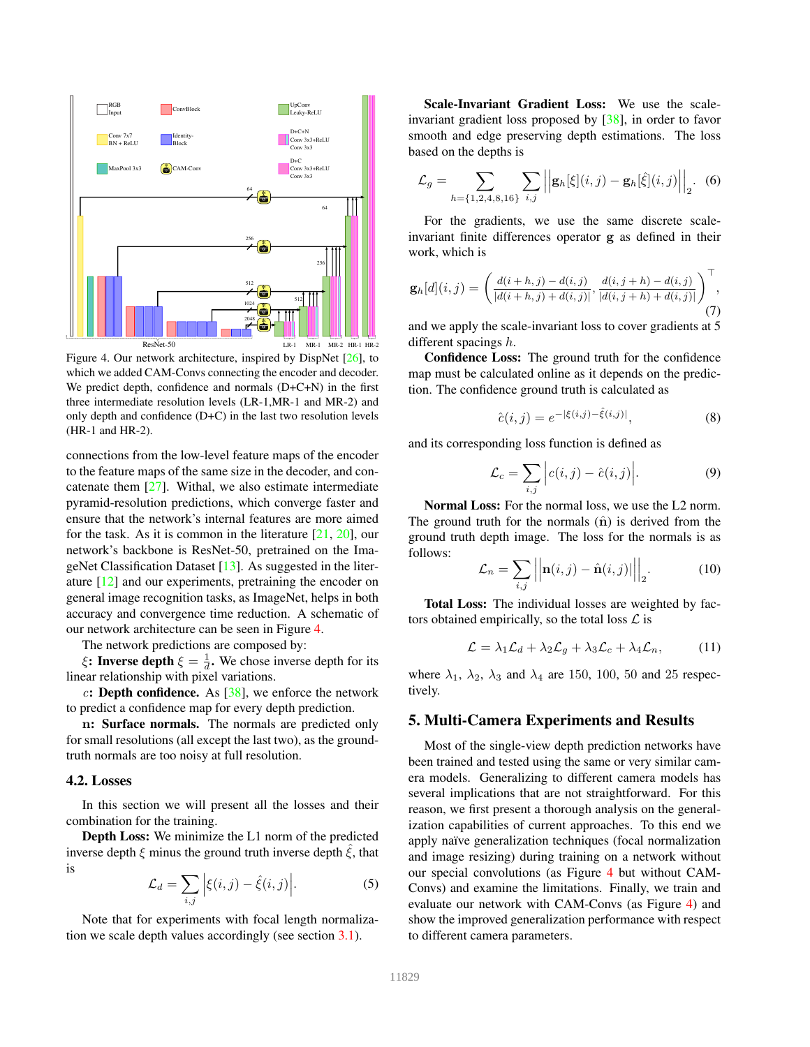

Figure 4. Our network architecture, inspired by DispNet [26], to which we added CAM-Convs connecting the encoder and decoder. We predict depth, confidence and normals (D+C+N) in the first three intermediate resolution levels (LR-1,MR-1 and MR-2) and only depth and confidence (D+C) in the last two resolution levels (HR-1 and HR-2).

connections from the low-level feature maps of the encoder to the feature maps of the same size in the decoder, and concatenate them  $[27]$ . Withal, we also estimate intermediate pyramid-resolution predictions, which converge faster and ensure that the network's internal features are more aimed for the task. As it is common in the literature [21, 20], our network's backbone is ResNet-50, pretrained on the ImageNet Classification Dataset [13]. As suggested in the literature [12] and our experiments, pretraining the encoder on general image recognition tasks, as ImageNet, helps in both accuracy and convergence time reduction. A schematic of our network architecture can be seen in Figure 4.

The network predictions are composed by:

 $\xi$ : Inverse depth  $\xi = \frac{1}{d}$ . We chose inverse depth for its linear relationship with pixel variations.

c: Depth confidence. As  $[38]$ , we enforce the network to predict a confidence map for every depth prediction.

n: Surface normals. The normals are predicted only for small resolutions (all except the last two), as the groundtruth normals are too noisy at full resolution.

#### 4.2. Losses

In this section we will present all the losses and their combination for the training.

Depth Loss: We minimize the L1 norm of the predicted inverse depth  $\xi$  minus the ground truth inverse depth  $\xi$ , that is

$$
\mathcal{L}_d = \sum_{i,j} \left| \xi(i,j) - \hat{\xi}(i,j) \right|.
$$
 (5)

Note that for experiments with focal length normalization we scale depth values accordingly (see section 3.1).

Scale-Invariant Gradient Loss: We use the scaleinvariant gradient loss proposed by [38], in order to favor smooth and edge preserving depth estimations. The loss based on the depths is

$$
\mathcal{L}_g = \sum_{h=\{1,2,4,8,16\}} \sum_{i,j} \left| \left| \mathbf{g}_h[\xi](i,j) - \mathbf{g}_h[\hat{\xi}](i,j) \right| \right|_2.
$$
 (6)

For the gradients, we use the same discrete scaleinvariant finite differences operator g as defined in their work, which is

$$
\mathbf{g}_h[d](i,j) = \left(\frac{d(i+h,j) - d(i,j)}{|d(i+h,j) + d(i,j)|}, \frac{d(i,j+h) - d(i,j)}{|d(i,j+h) + d(i,j)|}\right)^{\top},\tag{7}
$$

and we apply the scale-invariant loss to cover gradients at 5 different spacings h.

Confidence Loss: The ground truth for the confidence map must be calculated online as it depends on the prediction. The confidence ground truth is calculated as

$$
\hat{c}(i,j) = e^{-|\xi(i,j) - \hat{\xi}(i,j)|},\tag{8}
$$

and its corresponding loss function is defined as

$$
\mathcal{L}_c = \sum_{i,j} \Big| c(i,j) - \hat{c}(i,j) \Big|.
$$
 (9)

Normal Loss: For the normal loss, we use the L2 norm. The ground truth for the normals  $(\hat{\mathbf{n}})$  is derived from the ground truth depth image. The loss for the normals is as follows:

$$
\mathcal{L}_n = \sum_{i,j} \left| \left| \mathbf{n}(i,j) - \hat{\mathbf{n}}(i,j) \right| \right|_2.
$$
 (10)

Total Loss: The individual losses are weighted by factors obtained empirically, so the total loss  $\mathcal L$  is

$$
\mathcal{L} = \lambda_1 \mathcal{L}_d + \lambda_2 \mathcal{L}_g + \lambda_3 \mathcal{L}_c + \lambda_4 \mathcal{L}_n, \quad (11)
$$

where  $\lambda_1$ ,  $\lambda_2$ ,  $\lambda_3$  and  $\lambda_4$  are 150, 100, 50 and 25 respectively.

# 5. Multi-Camera Experiments and Results

Most of the single-view depth prediction networks have been trained and tested using the same or very similar camera models. Generalizing to different camera models has several implications that are not straightforward. For this reason, we first present a thorough analysis on the generalization capabilities of current approaches. To this end we apply naïve generalization techniques (focal normalization and image resizing) during training on a network without our special convolutions (as Figure 4 but without CAM-Convs) and examine the limitations. Finally, we train and evaluate our network with CAM-Convs (as Figure 4) and show the improved generalization performance with respect to different camera parameters.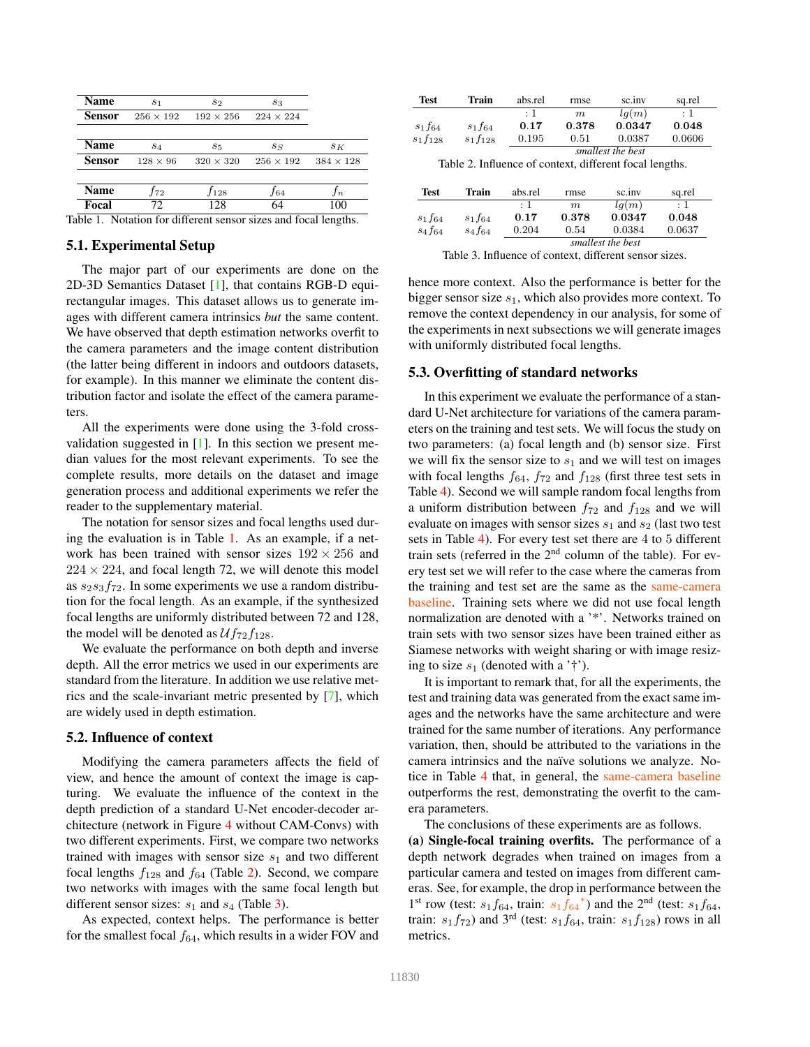| Name                                                            | S <sub>1</sub>   | $s_2$            | $s_3$            |                  |  |  |
|-----------------------------------------------------------------|------------------|------------------|------------------|------------------|--|--|
| Sensor                                                          | $256 \times 192$ | $192 \times 256$ | $224 \times 224$ |                  |  |  |
| <b>Name</b>                                                     | S <sub>4</sub>   | $s_{5}$          | $s_S$            | $s_{K}$          |  |  |
| <b>Sensor</b>                                                   | $128 \times 96$  | $320 \times 320$ | $256 \times 192$ | $384 \times 128$ |  |  |
|                                                                 |                  |                  |                  |                  |  |  |
| Name                                                            | $f_{72}$         | $f_{128}$        | $f_{64}$         | In               |  |  |
| Focal                                                           | 72               | 128              | 64               | 100              |  |  |
| Table 1. Notation for different sensor sizes and focal lengths. |                  |                  |                  |                  |  |  |

# 5.1. Experimental Setup

The major part of our experiments are done on the 2D-3D Semantics Dataset [1], that contains RGB-D equirectangular images. This dataset allows us to generate images with different camera intrinsics *but* the same content. We have observed that depth estimation networks overfit to the camera parameters and the image content distribution (the latter being different in indoors and outdoors datasets, for example). In this manner we eliminate the content distribution factor and isolate the effect of the camera parameters.

All the experiments were done using the 3-fold crossvalidation suggested in  $[1]$ . In this section we present median values for the most relevant experiments. To see the complete results, more details on the dataset and image generation process and additional experiments we refer the reader to the supplementary material.

The notation for sensor sizes and focal lengths used during the evaluation is in Table 1. As an example, if a network has been trained with sensor sizes  $192 \times 256$  and  $224 \times 224$ , and focal length 72, we will denote this model as  $s_2s_3f_{72}$ . In some experiments we use a random distribution for the focal length. As an example, if the synthesized focal lengths are uniformly distributed between 72 and 128, the model will be denoted as  $Uf_{72}f_{128}$ .

We evaluate the performance on both depth and inverse depth. All the error metrics we used in our experiments are standard from the literature. In addition we use relative metrics and the scale-invariant metric presented by [7], which are widely used in depth estimation.

#### 5.2. Influence of context

Modifying the camera parameters affects the field of view, and hence the amount of context the image is capturing. We evaluate the influence of the context in the depth prediction of a standard U-Net encoder-decoder architecture (network in Figure 4 without CAM-Convs) with two different experiments. First, we compare two networks trained with images with sensor size  $s_1$  and two different focal lengths  $f_{128}$  and  $f_{64}$  (Table 2). Second, we compare two networks with images with the same focal length but different sensor sizes:  $s_1$  and  $s_4$  (Table 3).

As expected, context helps. The performance is better for the smallest focal  $f_{64}$ , which results in a wider FOV and

| Test         | Train        | abs.rel           | rmse  | sc.inv | sq.rel  |  |
|--------------|--------------|-------------------|-------|--------|---------|--|
|              |              | : 1               | m     | lq(m)  | $\pm$ 1 |  |
| $s_1f_{64}$  | $s_1f_{64}$  | 0.17              | 0.378 | 0.0347 | 0.048   |  |
| $s_1f_{128}$ | $s_1f_{128}$ | 0.195             | 0.51  | 0.0387 | 0.0606  |  |
|              |              | smallest the best |       |        |         |  |

Table 2. Influence of context, different focal lengths.

| Test        | Train       | abs.rel           | rmse  | sc.inv | sq.rel  |  |
|-------------|-------------|-------------------|-------|--------|---------|--|
|             |             | : 1               | m     | lq(m)  | $\pm$ 1 |  |
| $s_1f_{64}$ | $s_1f_{64}$ | 0.17              | 0.378 | 0.0347 | 0.048   |  |
| $s_4f_{64}$ | $s_4f_{64}$ | 0.204             | 0.54  | 0.0384 | 0.0637  |  |
|             |             | smallest the best |       |        |         |  |

Table 3. Influence of context, different sensor sizes.

hence more context. Also the performance is better for the bigger sensor size  $s_1$ , which also provides more context. To remove the context dependency in our analysis, for some of the experiments in next subsections we will generate images with uniformly distributed focal lengths.

#### 5.3. Overfitting of standard networks

In this experiment we evaluate the performance of a standard U-Net architecture for variations of the camera parameters on the training and test sets. We will focus the study on two parameters: (a) focal length and (b) sensor size. First we will fix the sensor size to  $s_1$  and we will test on images with focal lengths  $f_{64}$ ,  $f_{72}$  and  $f_{128}$  (first three test sets in Table 4). Second we will sample random focal lengths from a uniform distribution between  $f_{72}$  and  $f_{128}$  and we will evaluate on images with sensor sizes  $s_1$  and  $s_2$  (last two test sets in Table 4). For every test set there are 4 to 5 different train sets (referred in the  $2<sup>nd</sup>$  column of the table). For every test set we will refer to the case where the cameras from the training and test set are the same as the same-camera baseline. Training sets where we did not use focal length normalization are denoted with a '\*'. Networks trained on train sets with two sensor sizes have been trained either as Siamese networks with weight sharing or with image resizing to size  $s_1$  (denoted with a '†').

It is important to remark that, for all the experiments, the test and training data was generated from the exact same images and the networks have the same architecture and were trained for the same number of iterations. Any performance variation, then, should be attributed to the variations in the camera intrinsics and the naïve solutions we analyze. Notice in Table 4 that, in general, the same-camera baseline outperforms the rest, demonstrating the overfit to the camera parameters.

The conclusions of these experiments are as follows.

(a) Single-focal training overfits. The performance of a depth network degrades when trained on images from a particular camera and tested on images from different cameras. See, for example, the drop in performance between the 1<sup>st</sup> row (test:  $s_1 f_{64}$ , train:  $s_1 f_{64}^*$ ) and the 2<sup>nd</sup> (test:  $s_1 f_{64}$ , train:  $s_1f_{72}$ ) and 3<sup>rd</sup> (test:  $s_1f_{64}$ , train:  $s_1f_{128}$ ) rows in all metrics.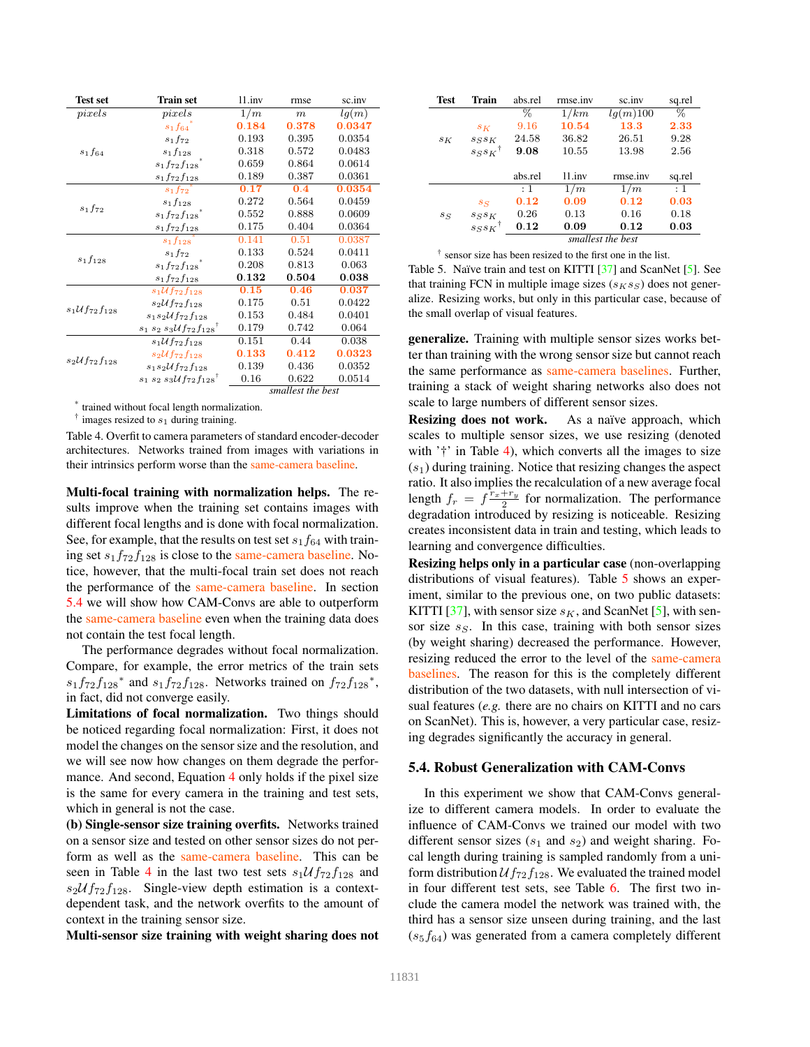| <b>Test set</b>                  | <b>Train set</b>                            | 11.inv     | rmse              | sc.inv |
|----------------------------------|---------------------------------------------|------------|-------------------|--------|
| pixels                           | pixels                                      | 1/m        | m                 | lq(m)  |
|                                  | $s_1f_{64}$                                 | 0.184      | 0.378             | 0.0347 |
|                                  | $s_1f_{72}$                                 | 0.193      | 0.395             | 0.0354 |
| $s_1f_{64}$                      | $s_1f_{128}$                                | 0.318      | 0.572             | 0.0483 |
|                                  | $s_1f_{72}f_{128}$                          | 0.659      | 0.864             | 0.0614 |
|                                  | $s_1f_{72}f_{128}$                          | 0.189      | 0.387             | 0.0361 |
|                                  | $s_1f_{72}$                                 | 0.17       | 0.4               | 0.0354 |
|                                  | $s_1f_{128}$                                | 0.272      | 0.564             | 0.0459 |
| $s_1f_{72}$                      | $s_1f_{72}f_{128}$                          | 0.552      | 0.888             | 0.0609 |
|                                  | $s_1f_{72}f_{128}$                          | 0.175      | 0.404             | 0.0364 |
|                                  | $s_1f_{128}$                                | 0.141      | 0.51              | 0.0387 |
|                                  | $s_1f_{72}$                                 | 0.133      | 0.524             | 0.0411 |
| $s_1f_{128}$                     | $s_1f_{72}f_{128}$                          | 0.208      | 0.813             | 0.063  |
|                                  | $s_1f_{72}f_{128}$                          | $\bf0.132$ | 0.504             | 0.038  |
|                                  | $s_1 \mathcal{U} f_{72} f_{128}$            | 0.15       | 0.46              | 0.037  |
|                                  | $s_2 \mathcal{U} f_{72} f_{128}$            | 0.175      | 0.51              | 0.0422 |
| $s_1 \mathcal{U} f_{72} f_{128}$ | $s_1s_2\mathcal{U}f_{72}f_{128}$            | 0.153      | 0.484             | 0.0401 |
|                                  | $s_1 s_2 s_3 U f_{72} f_{128}$ <sup>†</sup> | 0.179      | 0.742             | 0.064  |
| $s_2\mathcal{U}f_{72}f_{128}$    | $s_1 \mathcal{U} f_{72} f_{128}$            | 0.151      | 0.44              | 0.038  |
|                                  | $s_2 \mathcal{U} f_{72} f_{128}$            | 0.133      | 0.412             | 0.0323 |
|                                  | $s_1s_2\mathcal{U}f_{72}f_{128}$            | 0.139      | 0.436             | 0.0352 |
|                                  | $s_1 s_2 s_3 U f_{72} f_{128}$              | 0.16       | 0.622             | 0.0514 |
|                                  |                                             |            | smallest the best |        |

\* trained without focal length normalization.

 $\dagger$  images resized to  $s_1$  during training.

Table 4. Overfit to camera parameters of standard encoder-decoder architectures. Networks trained from images with variations in their intrinsics perform worse than the same-camera baseline.

Multi-focal training with normalization helps. The results improve when the training set contains images with different focal lengths and is done with focal normalization. See, for example, that the results on test set  $s_1f_{64}$  with training set  $s_1f_{72}f_{128}$  is close to the same-camera baseline. Notice, however, that the multi-focal train set does not reach the performance of the same-camera baseline. In section 5.4 we will show how CAM-Convs are able to outperform the same-camera baseline even when the training data does not contain the test focal length.

The performance degrades without focal normalization. Compare, for example, the error metrics of the train sets  $s_1 f_{72} f_{128}$ <sup>\*</sup> and  $s_1 f_{72} f_{128}$ . Networks trained on  $f_{72} f_{128}$ <sup>\*</sup>, in fact, did not converge easily.

Limitations of focal normalization. Two things should be noticed regarding focal normalization: First, it does not model the changes on the sensor size and the resolution, and we will see now how changes on them degrade the performance. And second, Equation 4 only holds if the pixel size is the same for every camera in the training and test sets, which in general is not the case.

(b) Single-sensor size training overfits. Networks trained on a sensor size and tested on other sensor sizes do not perform as well as the same-camera baseline. This can be seen in Table 4 in the last two test sets  $s_1 \mathcal{U} f_{72} f_{128}$  and  $s_2 U f_{72} f_{128}$ . Single-view depth estimation is a contextdependent task, and the network overfits to the amount of context in the training sensor size.

Multi-sensor size training with weight sharing does not

| Test  | Train                  | abs.rel           | rmse.inv | sc.inv   | sq.rel |  |
|-------|------------------------|-------------------|----------|----------|--------|--|
|       |                        | %                 | 1/km     | lq(m)100 | %      |  |
|       | $s_K$                  | 9.16              | 10.54    | 13.3     | 2.33   |  |
| $s_K$ | $s_S s_K$              | 24.58             | 36.82    | 26.51    | 9.28   |  |
|       | $s_S s_K$ <sup>†</sup> | 9.08              | 10.55    | 13.98    | 2.56   |  |
|       |                        |                   |          |          |        |  |
|       |                        | abs.rel           | 11.inv   | rmse.inv | sq.rel |  |
|       |                        | $\pm$ 1           | 1/m      | 1/m      | : 1    |  |
|       | $s_S$                  | 0.12              | 0.09     | 0.12     | 0.03   |  |
| $s_S$ | $s_S s_K$              | 0.26              | 0.13     | 0.16     | 0.18   |  |
|       | $ssss\kappa^{\dagger}$ | 0.12              | 0.09     | 0.12     | 0.03   |  |
|       |                        | smallest the best |          |          |        |  |

† sensor size has been resized to the first one in the list.

Table 5. Naïve train and test on KITTI [37] and ScanNet [5]. See that training FCN in multiple image sizes  $(s_K s_S)$  does not generalize. Resizing works, but only in this particular case, because of the small overlap of visual features.

generalize. Training with multiple sensor sizes works better than training with the wrong sensor size but cannot reach the same performance as same-camera baselines. Further, training a stack of weight sharing networks also does not scale to large numbers of different sensor sizes.

Resizing does not work. As a naïve approach, which scales to multiple sensor sizes, we use resizing (denoted with '†' in Table 4), which converts all the images to size  $(s<sub>1</sub>)$  during training. Notice that resizing changes the aspect ratio. It also implies the recalculation of a new average focal length  $f_r = f^{\frac{\tilde{r}_x + r_y}{2}}$  for normalization. The performance degradation introduced by resizing is noticeable. Resizing creates inconsistent data in train and testing, which leads to learning and convergence difficulties.

Resizing helps only in a particular case (non-overlapping distributions of visual features). Table 5 shows an experiment, similar to the previous one, on two public datasets: KITTI [37], with sensor size  $s<sub>K</sub>$ , and ScanNet [5], with sensor size  $s_S$ . In this case, training with both sensor sizes (by weight sharing) decreased the performance. However, resizing reduced the error to the level of the same-camera baselines. The reason for this is the completely different distribution of the two datasets, with null intersection of visual features (*e.g.* there are no chairs on KITTI and no cars on ScanNet). This is, however, a very particular case, resizing degrades significantly the accuracy in general.

#### 5.4. Robust Generalization with CAM-Convs

In this experiment we show that CAM-Convs generalize to different camera models. In order to evaluate the influence of CAM-Convs we trained our model with two different sensor sizes ( $s_1$  and  $s_2$ ) and weight sharing. Focal length during training is sampled randomly from a uniform distribution  $Uf_{72}f_{128}$ . We evaluated the trained model in four different test sets, see Table 6. The first two include the camera model the network was trained with, the third has a sensor size unseen during training, and the last  $(s_5f_{64})$  was generated from a camera completely different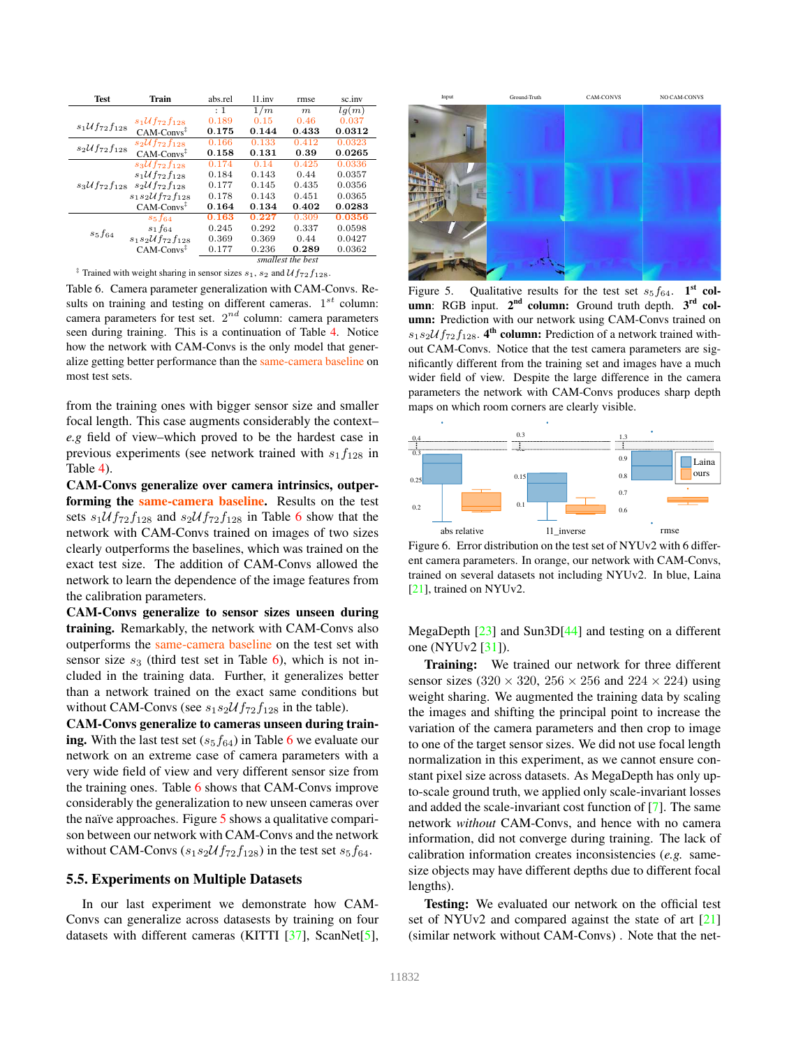| <b>Test</b>                      | Train                            | abs.rel | 11.inv | rmse              | sc.inv |
|----------------------------------|----------------------------------|---------|--------|-------------------|--------|
|                                  |                                  | $\pm$ 1 | 1/m    | m                 | lg(m)  |
|                                  | $s_1 \mathcal{U} f_{72} f_{128}$ | 0.189   | 0.15   | 0.46              | 0.037  |
| $s_1 \mathcal{U} f_{72} f_{128}$ | $CAM\text{-}Convs^{\ddagger}$    | 0.175   | 0.144  | 0.433             | 0.0312 |
| $s_2 \mathcal{U} f_{72} f_{128}$ | $s_2\mathcal{U}f_{72}f_{128}$    | 0.166   | 0.133  | 0.412             | 0.0323 |
|                                  | $CAM\text{-}Convs^{\ddagger}$    | 0.158   | 0.131  | 0.39              | 0.0265 |
| $s_3 \mathcal{U} f_{72} f_{128}$ | $s_3 \mathcal{U} f_{72} f_{128}$ | 0.174   | 0.14   | 0.425             | 0.0336 |
|                                  | $s_1 \mathcal{U} f_{72} f_{128}$ | 0.184   | 0.143  | 0.44              | 0.0357 |
|                                  | $s_2 \mathcal{U} f_{72} f_{128}$ | 0.177   | 0.145  | 0.435             | 0.0356 |
|                                  | $s_1s_2\mathcal{U}f_{72}f_{128}$ | 0.178   | 0.143  | 0.451             | 0.0365 |
|                                  | $CAM\text{-}Convs^{\ddagger}$    | 0.164   | 0.134  | 0.402             | 0.0283 |
| $s_5f_{64}$                      | $s_5f_{64}$                      | 0.163   | 0.227  | 0.309             | 0.0356 |
|                                  | $s_1f_{64}$                      | 0.245   | 0.292  | 0.337             | 0.0598 |
|                                  | $s_1s_2\mathcal{U}f_{72}f_{128}$ | 0.369   | 0.369  | 0.44              | 0.0427 |
|                                  | $CAM\text{-}Convs^{\ddagger}$    | 0.177   | 0.236  | 0.289             | 0.0362 |
|                                  |                                  |         |        | smallest the best |        |

<sup>‡</sup> Trained with weight sharing in sensor sizes  $s_1$ ,  $s_2$  and  $\mathcal{U}f_{72}f_{128}$ .

Table 6. Camera parameter generalization with CAM-Convs. Results on training and testing on different cameras.  $1^{st}$  column: camera parameters for test set.  $2^{nd}$  column: camera parameters seen during training. This is a continuation of Table 4. Notice how the network with CAM-Convs is the only model that generalize getting better performance than the same-camera baseline on most test sets.

from the training ones with bigger sensor size and smaller focal length. This case augments considerably the context– *e.g* field of view–which proved to be the hardest case in previous experiments (see network trained with  $s_1f_{128}$  in Table 4).

CAM-Convs generalize over camera intrinsics, outperforming the same-camera baseline. Results on the test sets  $s_1 \mathcal{U} f_{72} f_{128}$  and  $s_2 \mathcal{U} f_{72} f_{128}$  in Table 6 show that the network with CAM-Convs trained on images of two sizes clearly outperforms the baselines, which was trained on the exact test size. The addition of CAM-Convs allowed the network to learn the dependence of the image features from the calibration parameters.

CAM-Convs generalize to sensor sizes unseen during training. Remarkably, the network with CAM-Convs also outperforms the same-camera baseline on the test set with sensor size  $s_3$  (third test set in Table 6), which is not included in the training data. Further, it generalizes better than a network trained on the exact same conditions but without CAM-Convs (see  $s_1s_2\mathcal{U}f_{72}f_{128}$  in the table).

CAM-Convs generalize to cameras unseen during training. With the last test set  $(s_5f_{64})$  in Table 6 we evaluate our network on an extreme case of camera parameters with a very wide field of view and very different sensor size from the training ones. Table 6 shows that CAM-Convs improve considerably the generalization to new unseen cameras over the naïve approaches. Figure  $5$  shows a qualitative comparison between our network with CAM-Convs and the network without CAM-Convs  $(s_1s_2\mathcal{U}f_{72}f_{128})$  in the test set  $s_5f_{64}$ .

# 5.5. Experiments on Multiple Datasets

In our last experiment we demonstrate how CAM-Convs can generalize across datasests by training on four datasets with different cameras (KITTI [37], ScanNet[5],



Figure 5. Qualitative results for the test set  $s_5f_{64}$ . 1<sup>st</sup> column: RGB input. 2<sup>nd</sup> column: Ground truth depth. 3<sup>rd</sup> column: Prediction with our network using CAM-Convs trained on  $s_1s_2\mathcal{U}f_{72}f_{128}$ . 4<sup>th</sup> column: Prediction of a network trained without CAM-Convs. Notice that the test camera parameters are significantly different from the training set and images have a much wider field of view. Despite the large difference in the camera parameters the network with CAM-Convs produces sharp depth maps on which room corners are clearly visible.



Figure 6. Error distribution on the test set of NYUv2 with 6 different camera parameters. In orange, our network with CAM-Convs, trained on several datasets not including NYUv2. In blue, Laina [21], trained on NYUv2.

MegaDepth [23] and Sun3D[44] and testing on a different one (NYUv2 [31]).

Training: We trained our network for three different sensor sizes (320  $\times$  320, 256  $\times$  256 and 224  $\times$  224) using weight sharing. We augmented the training data by scaling the images and shifting the principal point to increase the variation of the camera parameters and then crop to image to one of the target sensor sizes. We did not use focal length normalization in this experiment, as we cannot ensure constant pixel size across datasets. As MegaDepth has only upto-scale ground truth, we applied only scale-invariant losses and added the scale-invariant cost function of [7]. The same network *without* CAM-Convs, and hence with no camera information, did not converge during training. The lack of calibration information creates inconsistencies (*e.g.* samesize objects may have different depths due to different focal lengths).

Testing: We evaluated our network on the official test set of NYUv2 and compared against the state of art [21] (similar network without CAM-Convs) . Note that the net-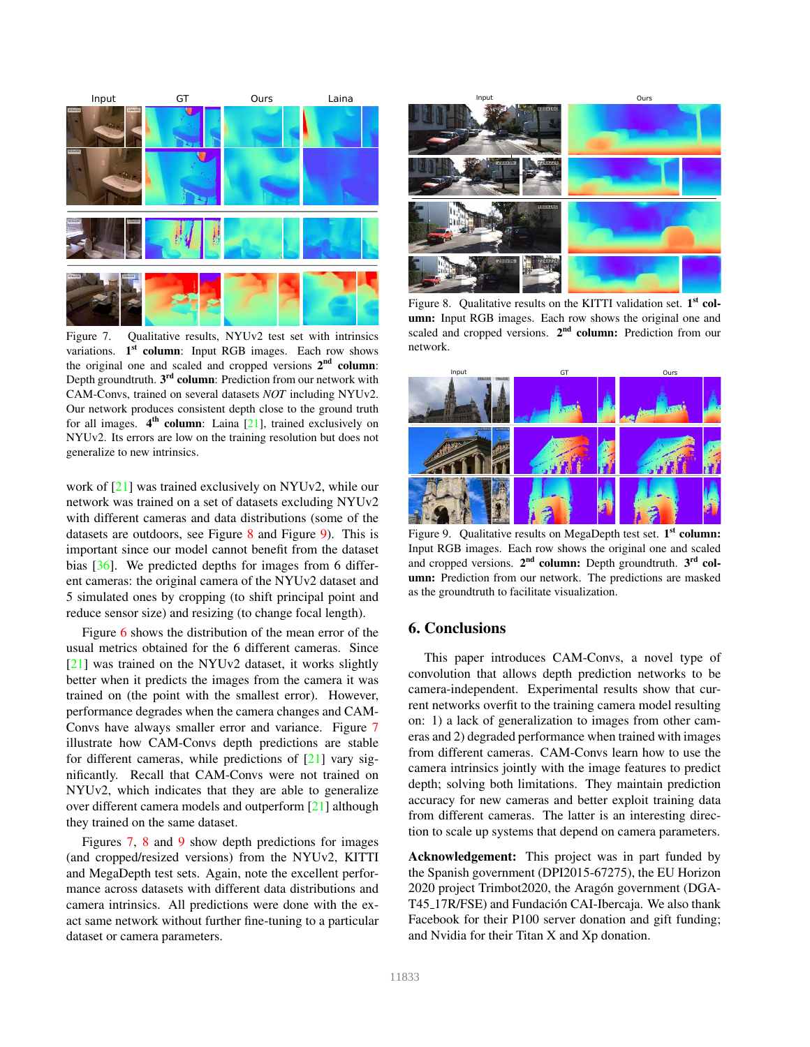

Figure 7. Qualitative results, NYUv2 test set with intrinsics variations. 1<sup>st</sup> column: Input RGB images. Each row shows the original one and scaled and cropped versions  $2<sup>nd</sup>$  column: Depth groundtruth. 3<sup>rd</sup> column: Prediction from our network with CAM-Convs, trained on several datasets *NOT* including NYUv2. Our network produces consistent depth close to the ground truth for all images. 4<sup>th</sup> column: Laina [21], trained exclusively on NYUv2. Its errors are low on the training resolution but does not generalize to new intrinsics.

work of [21] was trained exclusively on NYUv2, while our network was trained on a set of datasets excluding NYUv2 with different cameras and data distributions (some of the datasets are outdoors, see Figure 8 and Figure 9). This is important since our model cannot benefit from the dataset bias [36]. We predicted depths for images from 6 different cameras: the original camera of the NYUv2 dataset and 5 simulated ones by cropping (to shift principal point and reduce sensor size) and resizing (to change focal length).

Figure 6 shows the distribution of the mean error of the usual metrics obtained for the 6 different cameras. Since [21] was trained on the NYUv2 dataset, it works slightly better when it predicts the images from the camera it was trained on (the point with the smallest error). However, performance degrades when the camera changes and CAM-Convs have always smaller error and variance. Figure 7 illustrate how CAM-Convs depth predictions are stable for different cameras, while predictions of [21] vary significantly. Recall that CAM-Convs were not trained on NYUv2, which indicates that they are able to generalize over different camera models and outperform [21] although they trained on the same dataset.

Figures 7, 8 and 9 show depth predictions for images (and cropped/resized versions) from the NYUv2, KITTI and MegaDepth test sets. Again, note the excellent performance across datasets with different data distributions and camera intrinsics. All predictions were done with the exact same network without further fine-tuning to a particular dataset or camera parameters.



Figure 8. Qualitative results on the KITTI validation set. 1<sup>st</sup> column: Input RGB images. Each row shows the original one and scaled and cropped versions. 2<sup>nd</sup> column: Prediction from our network.



Figure 9. Qualitative results on MegaDepth test set. 1<sup>st</sup> column: Input RGB images. Each row shows the original one and scaled and cropped versions.  $2<sup>nd</sup>$  column: Depth groundtruth.  $3<sup>rd</sup>$  column: Prediction from our network. The predictions are masked as the groundtruth to facilitate visualization.

# 6. Conclusions

This paper introduces CAM-Convs, a novel type of convolution that allows depth prediction networks to be camera-independent. Experimental results show that current networks overfit to the training camera model resulting on: 1) a lack of generalization to images from other cameras and 2) degraded performance when trained with images from different cameras. CAM-Convs learn how to use the camera intrinsics jointly with the image features to predict depth; solving both limitations. They maintain prediction accuracy for new cameras and better exploit training data from different cameras. The latter is an interesting direction to scale up systems that depend on camera parameters.

Acknowledgement: This project was in part funded by the Spanish government (DPI2015-67275), the EU Horizon 2020 project Trimbot2020, the Aragón government (DGA-T45<sub>-17R</sub>/FSE) and Fundación CAI-Ibercaja. We also thank Facebook for their P100 server donation and gift funding; and Nvidia for their Titan X and Xp donation.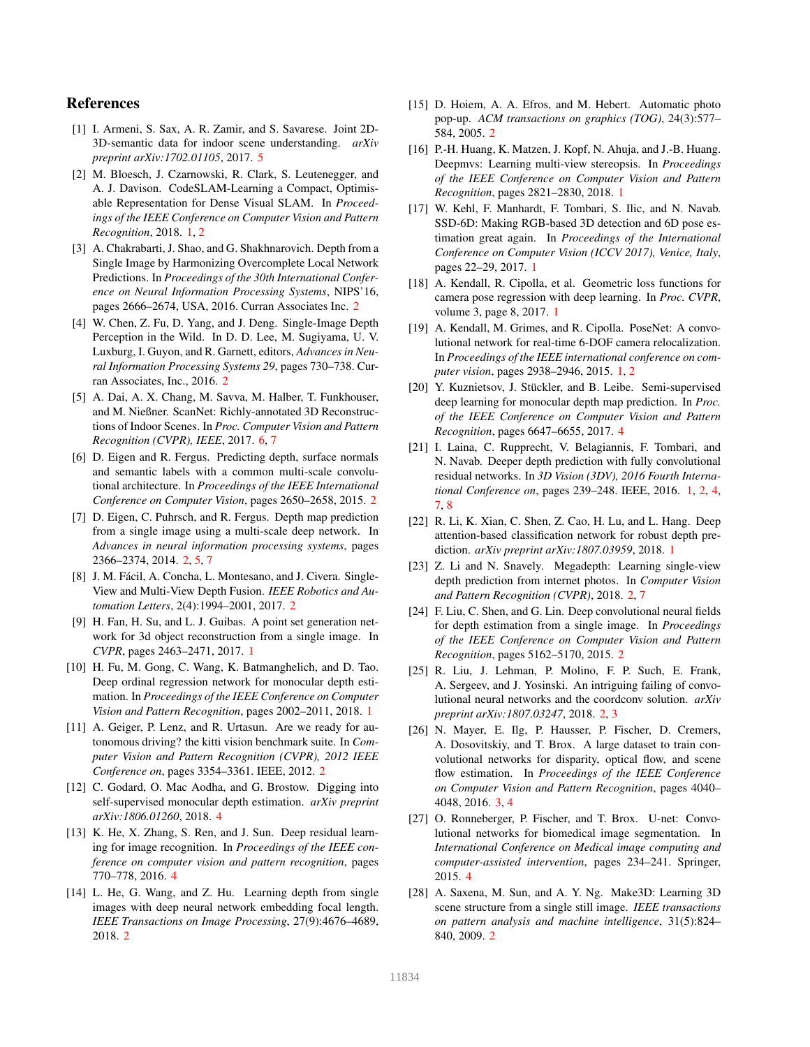# References

- [1] I. Armeni, S. Sax, A. R. Zamir, and S. Savarese. Joint 2D-3D-semantic data for indoor scene understanding. *arXiv preprint arXiv:1702.01105*, 2017. 5
- [2] M. Bloesch, J. Czarnowski, R. Clark, S. Leutenegger, and A. J. Davison. CodeSLAM-Learning a Compact, Optimisable Representation for Dense Visual SLAM. In *Proceedings of the IEEE Conference on Computer Vision and Pattern Recognition*, 2018. 1, 2
- [3] A. Chakrabarti, J. Shao, and G. Shakhnarovich. Depth from a Single Image by Harmonizing Overcomplete Local Network Predictions. In *Proceedings of the 30th International Conference on Neural Information Processing Systems*, NIPS'16, pages 2666–2674, USA, 2016. Curran Associates Inc. 2
- [4] W. Chen, Z. Fu, D. Yang, and J. Deng. Single-Image Depth Perception in the Wild. In D. D. Lee, M. Sugiyama, U. V. Luxburg, I. Guyon, and R. Garnett, editors, *Advances in Neural Information Processing Systems 29*, pages 730–738. Curran Associates, Inc., 2016. 2
- [5] A. Dai, A. X. Chang, M. Savva, M. Halber, T. Funkhouser, and M. Nießner. ScanNet: Richly-annotated 3D Reconstructions of Indoor Scenes. In *Proc. Computer Vision and Pattern Recognition (CVPR), IEEE*, 2017. 6, 7
- [6] D. Eigen and R. Fergus. Predicting depth, surface normals and semantic labels with a common multi-scale convolutional architecture. In *Proceedings of the IEEE International Conference on Computer Vision*, pages 2650–2658, 2015. 2
- [7] D. Eigen, C. Puhrsch, and R. Fergus. Depth map prediction from a single image using a multi-scale deep network. In *Advances in neural information processing systems*, pages 2366–2374, 2014. 2, 5, 7
- [8] J. M. Fácil, A. Concha, L. Montesano, and J. Civera. Single-View and Multi-View Depth Fusion. *IEEE Robotics and Automation Letters*, 2(4):1994–2001, 2017. 2
- [9] H. Fan, H. Su, and L. J. Guibas. A point set generation network for 3d object reconstruction from a single image. In *CVPR*, pages 2463–2471, 2017. 1
- [10] H. Fu, M. Gong, C. Wang, K. Batmanghelich, and D. Tao. Deep ordinal regression network for monocular depth estimation. In *Proceedings of the IEEE Conference on Computer Vision and Pattern Recognition*, pages 2002–2011, 2018. 1
- [11] A. Geiger, P. Lenz, and R. Urtasun. Are we ready for autonomous driving? the kitti vision benchmark suite. In *Computer Vision and Pattern Recognition (CVPR), 2012 IEEE Conference on*, pages 3354–3361. IEEE, 2012. 2
- [12] C. Godard, O. Mac Aodha, and G. Brostow. Digging into self-supervised monocular depth estimation. *arXiv preprint arXiv:1806.01260*, 2018. 4
- [13] K. He, X. Zhang, S. Ren, and J. Sun. Deep residual learning for image recognition. In *Proceedings of the IEEE conference on computer vision and pattern recognition*, pages 770–778, 2016. 4
- [14] L. He, G. Wang, and Z. Hu. Learning depth from single images with deep neural network embedding focal length. *IEEE Transactions on Image Processing*, 27(9):4676–4689, 2018. 2
- [15] D. Hoiem, A. A. Efros, and M. Hebert. Automatic photo pop-up. *ACM transactions on graphics (TOG)*, 24(3):577– 584, 2005. 2
- [16] P.-H. Huang, K. Matzen, J. Kopf, N. Ahuja, and J.-B. Huang. Deepmvs: Learning multi-view stereopsis. In *Proceedings of the IEEE Conference on Computer Vision and Pattern Recognition*, pages 2821–2830, 2018. 1
- [17] W. Kehl, F. Manhardt, F. Tombari, S. Ilic, and N. Navab. SSD-6D: Making RGB-based 3D detection and 6D pose estimation great again. In *Proceedings of the International Conference on Computer Vision (ICCV 2017), Venice, Italy*, pages 22–29, 2017. 1
- [18] A. Kendall, R. Cipolla, et al. Geometric loss functions for camera pose regression with deep learning. In *Proc. CVPR*, volume 3, page 8, 2017. 1
- [19] A. Kendall, M. Grimes, and R. Cipolla. PoseNet: A convolutional network for real-time 6-DOF camera relocalization. In *Proceedings of the IEEE international conference on computer vision*, pages 2938–2946, 2015. 1, 2
- [20] Y. Kuznietsov, J. Stückler, and B. Leibe. Semi-supervised deep learning for monocular depth map prediction. In *Proc. of the IEEE Conference on Computer Vision and Pattern Recognition*, pages 6647–6655, 2017. 4
- [21] I. Laina, C. Rupprecht, V. Belagiannis, F. Tombari, and N. Navab. Deeper depth prediction with fully convolutional residual networks. In *3D Vision (3DV), 2016 Fourth International Conference on*, pages 239–248. IEEE, 2016. 1, 2, 4, 7, 8
- [22] R. Li, K. Xian, C. Shen, Z. Cao, H. Lu, and L. Hang. Deep attention-based classification network for robust depth prediction. *arXiv preprint arXiv:1807.03959*, 2018. 1
- [23] Z. Li and N. Snavely. Megadepth: Learning single-view depth prediction from internet photos. In *Computer Vision and Pattern Recognition (CVPR)*, 2018. 2, 7
- [24] F. Liu, C. Shen, and G. Lin. Deep convolutional neural fields for depth estimation from a single image. In *Proceedings of the IEEE Conference on Computer Vision and Pattern Recognition*, pages 5162–5170, 2015. 2
- [25] R. Liu, J. Lehman, P. Molino, F. P. Such, E. Frank, A. Sergeev, and J. Yosinski. An intriguing failing of convolutional neural networks and the coordconv solution. *arXiv preprint arXiv:1807.03247*, 2018. 2, 3
- [26] N. Mayer, E. Ilg, P. Hausser, P. Fischer, D. Cremers, A. Dosovitskiy, and T. Brox. A large dataset to train convolutional networks for disparity, optical flow, and scene flow estimation. In *Proceedings of the IEEE Conference on Computer Vision and Pattern Recognition*, pages 4040– 4048, 2016. 3, 4
- [27] O. Ronneberger, P. Fischer, and T. Brox. U-net: Convolutional networks for biomedical image segmentation. In *International Conference on Medical image computing and computer-assisted intervention*, pages 234–241. Springer, 2015. 4
- [28] A. Saxena, M. Sun, and A. Y. Ng. Make3D: Learning 3D scene structure from a single still image. *IEEE transactions on pattern analysis and machine intelligence*, 31(5):824– 840, 2009. 2